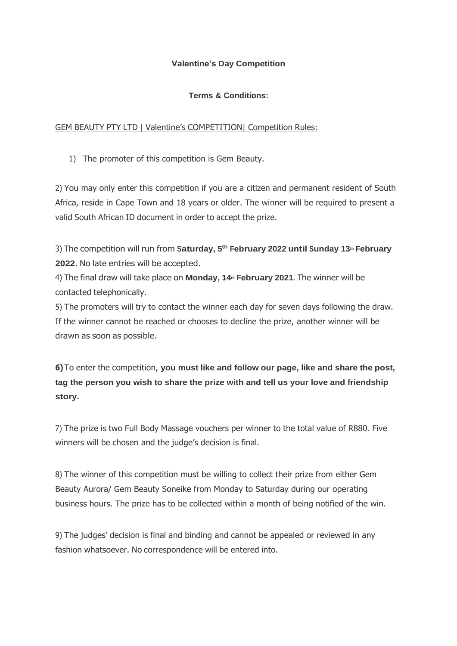## **Valentine's Day Competition**

## **Terms & Conditions:**

## GEM BEAUTY PTY LTD | Valentine's COMPETITION| Competition Rules:

1) The promoter of this competition is Gem Beauty.

2) You may only enter this competition if you are a citizen and permanent resident of South Africa, reside in Cape Town and 18 years or older. The winner will be required to present a valid South African ID document in order to accept the prize.

3) The competition will run from **Saturday, 5 th February 2022 until Sunday 13th February 2022**. No late entries will be accepted.

4) The final draw will take place on **Monday, 14th February 2021**. The winner will be contacted telephonically.

5) The promoters will try to contact the winner each day for seven days following the draw. If the winner cannot be reached or chooses to decline the prize, another winner will be drawn as soon as possible.

**6)**To enter the competition, **you must like and follow our page, like and share the post, tag the person you wish to share the prize with and tell us your love and friendship story.**

7) The prize is two Full Body Massage vouchers per winner to the total value of R880. Five winners will be chosen and the judge's decision is final.

8) The winner of this competition must be willing to collect their prize from either Gem Beauty Aurora/ Gem Beauty Soneike from Monday to Saturday during our operating business hours. The prize has to be collected within a month of being notified of the win.

9) The judges' decision is final and binding and cannot be appealed or reviewed in any fashion whatsoever. No correspondence will be entered into.